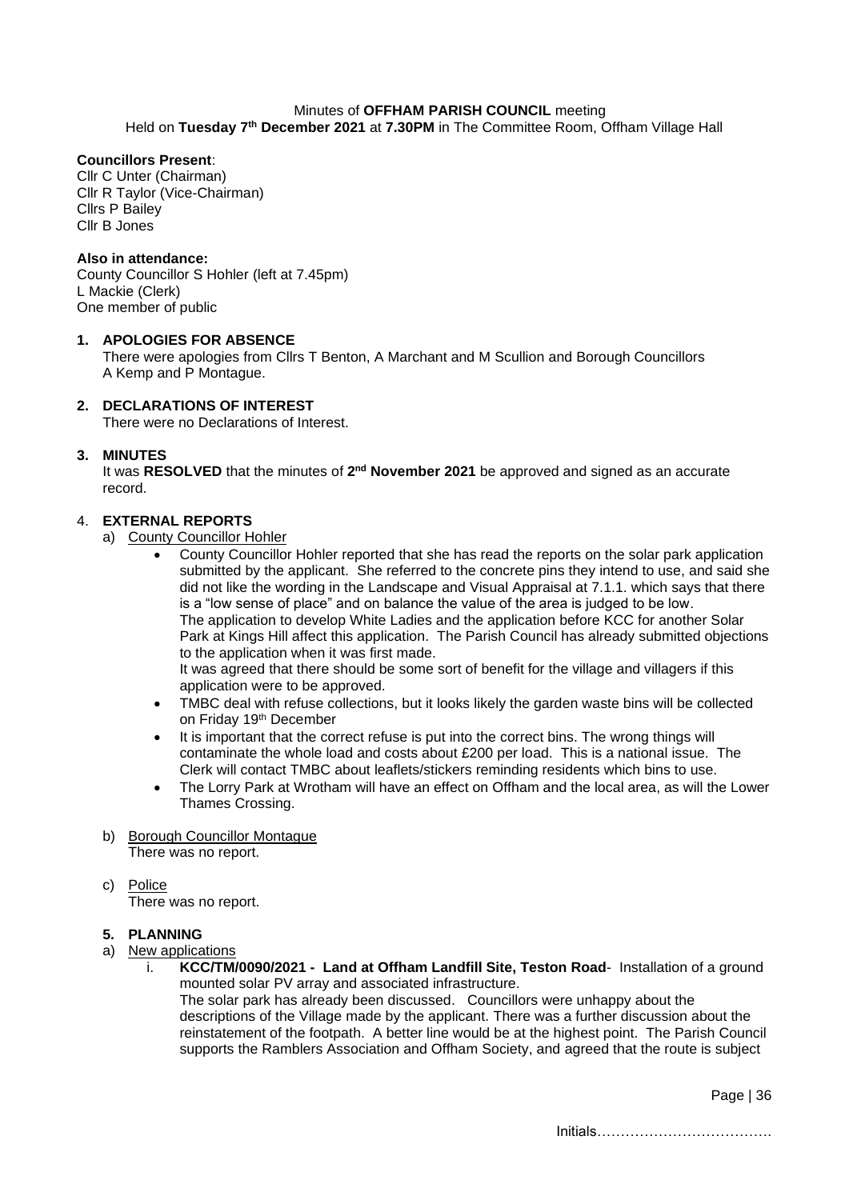# Minutes of **OFFHAM PARISH COUNCIL** meeting

Held on Tuesday 7<sup>th</sup> December 2021 at 7.30PM in The Committee Room, Offham Village Hall

## **Councillors Present**:

Cllr C Unter (Chairman) Cllr R Taylor (Vice-Chairman) Cllrs P Bailey Cllr B Jones

#### **Also in attendance:**

County Councillor S Hohler (left at 7.45pm) L Mackie (Clerk) One member of public

#### **1. APOLOGIES FOR ABSENCE**

There were apologies from Cllrs T Benton, A Marchant and M Scullion and Borough Councillors A Kemp and P Montague.

## **2. DECLARATIONS OF INTEREST**

There were no Declarations of Interest.

#### **3. MINUTES**

It was RESOLVED that the minutes of 2<sup>nd</sup> November 2021 be approved and signed as an accurate record.

#### 4. **EXTERNAL REPORTS**

- a) County Councillor Hohler
	- County Councillor Hohler reported that she has read the reports on the solar park application submitted by the applicant. She referred to the concrete pins they intend to use, and said she did not like the wording in the Landscape and Visual Appraisal at 7.1.1. which says that there is a "low sense of place" and on balance the value of the area is judged to be low. The application to develop White Ladies and the application before KCC for another Solar Park at Kings Hill affect this application. The Parish Council has already submitted objections to the application when it was first made. It was agreed that there should be some sort of benefit for the village and villagers if this application were to be approved.
	- TMBC deal with refuse collections, but it looks likely the garden waste bins will be collected on Friday 19<sup>th</sup> December
	- It is important that the correct refuse is put into the correct bins. The wrong things will contaminate the whole load and costs about £200 per load. This is a national issue. The Clerk will contact TMBC about leaflets/stickers reminding residents which bins to use.
	- The Lorry Park at Wrotham will have an effect on Offham and the local area, as will the Lower Thames Crossing.
- b) Borough Councillor Montague There was no report.
- c) Police

There was no report.

#### **5. PLANNING**

- a) New applications
	- i. **KCC/TM/0090/2021 Land at Offham Landfill Site, Teston Road** Installation of a ground mounted solar PV array and associated infrastructure. The solar park has already been discussed. Councillors were unhappy about the descriptions of the Village made by the applicant. There was a further discussion about the reinstatement of the footpath. A better line would be at the highest point. The Parish Council supports the Ramblers Association and Offham Society, and agreed that the route is subject

Page | 36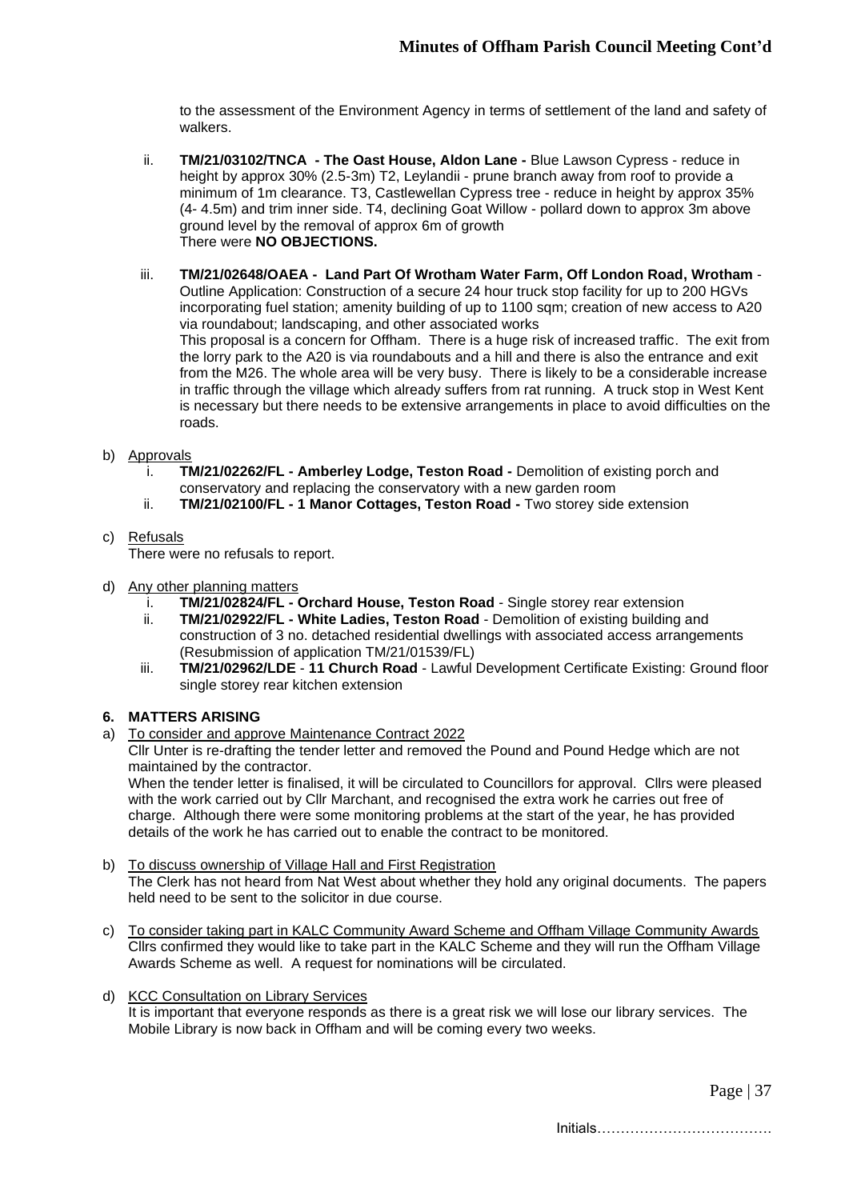to the assessment of the Environment Agency in terms of settlement of the land and safety of walkers.

- ii. **TM/21/03102/TNCA - The Oast House, Aldon Lane -** Blue Lawson Cypress reduce in height by approx 30% (2.5-3m) T2, Leylandii - prune branch away from roof to provide a minimum of 1m clearance. T3, Castlewellan Cypress tree - reduce in height by approx 35% (4- 4.5m) and trim inner side. T4, declining Goat Willow - pollard down to approx 3m above ground level by the removal of approx 6m of growth There were **NO OBJECTIONS.**
- iii. **TM/21/02648/OAEA - Land Part Of Wrotham Water Farm, Off London Road, Wrotham** Outline Application: Construction of a secure 24 hour truck stop facility for up to 200 HGVs incorporating fuel station; amenity building of up to 1100 sqm; creation of new access to A20 via roundabout; landscaping, and other associated works This proposal is a concern for Offham. There is a huge risk of increased traffic. The exit from the lorry park to the A20 is via roundabouts and a hill and there is also the entrance and exit from the M26. The whole area will be very busy. There is likely to be a considerable increase in traffic through the village which already suffers from rat running. A truck stop in West Kent is necessary but there needs to be extensive arrangements in place to avoid difficulties on the roads.
- b) Approvals
	- i. **TM/21/02262/FL - Amberley Lodge, Teston Road -** Demolition of existing porch and conservatory and replacing the conservatory with a new garden room
	- ii. **TM/21/02100/FL - 1 Manor Cottages, Teston Road -** Two storey side extension
- c) Refusals

There were no refusals to report.

- d) Any other planning matters
	- i. **TM/21/02824/FL - Orchard House, Teston Road** Single storey rear extension
	- ii. **TM/21/02922/FL - White Ladies, Teston Road** Demolition of existing building and construction of 3 no. detached residential dwellings with associated access arrangements (Resubmission of application TM/21/01539/FL)
	- iii. **TM/21/02962/LDE 11 Church Road** Lawful Development Certificate Existing: Ground floor single storey rear kitchen extension

## **6. MATTERS ARISING**

a) To consider and approve Maintenance Contract 2022

Cllr Unter is re-drafting the tender letter and removed the Pound and Pound Hedge which are not maintained by the contractor.

When the tender letter is finalised, it will be circulated to Councillors for approval. Cllrs were pleased with the work carried out by Cllr Marchant, and recognised the extra work he carries out free of charge. Although there were some monitoring problems at the start of the year, he has provided details of the work he has carried out to enable the contract to be monitored.

- b) To discuss ownership of Village Hall and First Registration The Clerk has not heard from Nat West about whether they hold any original documents. The papers held need to be sent to the solicitor in due course.
- c) To consider taking part in KALC Community Award Scheme and Offham Village Community Awards Cllrs confirmed they would like to take part in the KALC Scheme and they will run the Offham Village Awards Scheme as well. A request for nominations will be circulated.
- d) KCC Consultation on Library Services

It is important that everyone responds as there is a great risk we will lose our library services. The Mobile Library is now back in Offham and will be coming every two weeks.

Page | 37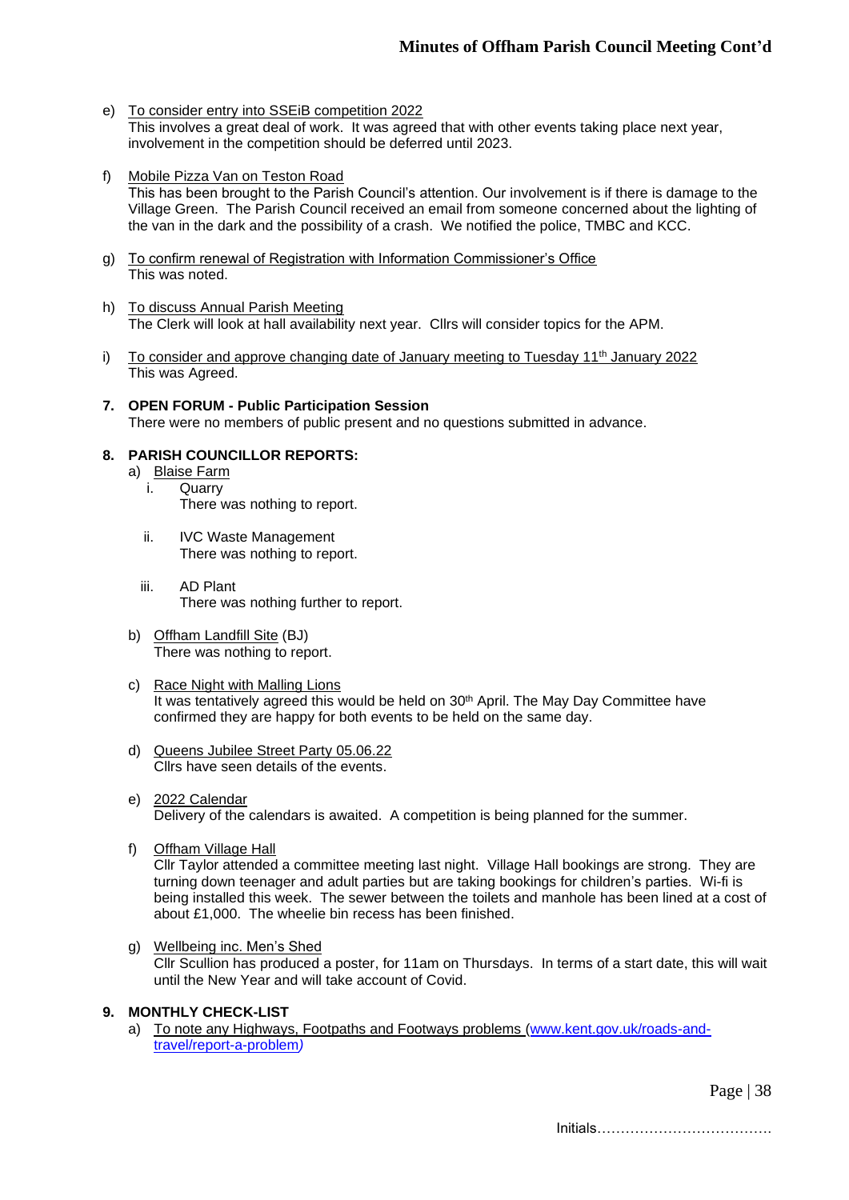- e) To consider entry into SSEiB competition 2022 This involves a great deal of work. It was agreed that with other events taking place next year, involvement in the competition should be deferred until 2023.
- f) Mobile Pizza Van on Teston Road This has been brought to the Parish Council's attention. Our involvement is if there is damage to the Village Green. The Parish Council received an email from someone concerned about the lighting of the van in the dark and the possibility of a crash. We notified the police, TMBC and KCC.
- g) To confirm renewal of Registration with Information Commissioner's Office This was noted.
- h) To discuss Annual Parish Meeting The Clerk will look at hall availability next year. Cllrs will consider topics for the APM.
- i) To consider and approve changing date of January meeting to Tuesday  $11<sup>th</sup>$  January 2022 This was Agreed.
- **7. OPEN FORUM - Public Participation Session** There were no members of public present and no questions submitted in advance.

## **8. PARISH COUNCILLOR REPORTS:**

- a) Blaise Farm
	- i. Quarry There was nothing to report.
	- ii. IVC Waste Management There was nothing to report.
	- iii. AD Plant There was nothing further to report.
- b) Offham Landfill Site (BJ) There was nothing to report.
- c) Race Night with Malling Lions It was tentatively agreed this would be held on 30<sup>th</sup> April. The May Day Committee have confirmed they are happy for both events to be held on the same day.
- d) Queens Jubilee Street Party 05.06.22 Cllrs have seen details of the events.
- e) 2022 Calendar Delivery of the calendars is awaited. A competition is being planned for the summer.
- f) Offham Village Hall

Cllr Taylor attended a committee meeting last night. Village Hall bookings are strong. They are turning down teenager and adult parties but are taking bookings for children's parties. Wi-fi is being installed this week. The sewer between the toilets and manhole has been lined at a cost of about £1,000. The wheelie bin recess has been finished.

g) Wellbeing inc. Men's Shed Cllr Scullion has produced a poster, for 11am on Thursdays. In terms of a start date, this will wait until the New Year and will take account of Covid.

## **9. MONTHLY CHECK-LIST**

a) To note any Highways, Footpaths and Footways problems [\(www.kent.gov.uk/roads-and](http://www.kent.gov.uk/roads-and-travel/report-a-problem)[travel/report-a-problem](http://www.kent.gov.uk/roads-and-travel/report-a-problem)*)*

Page | 38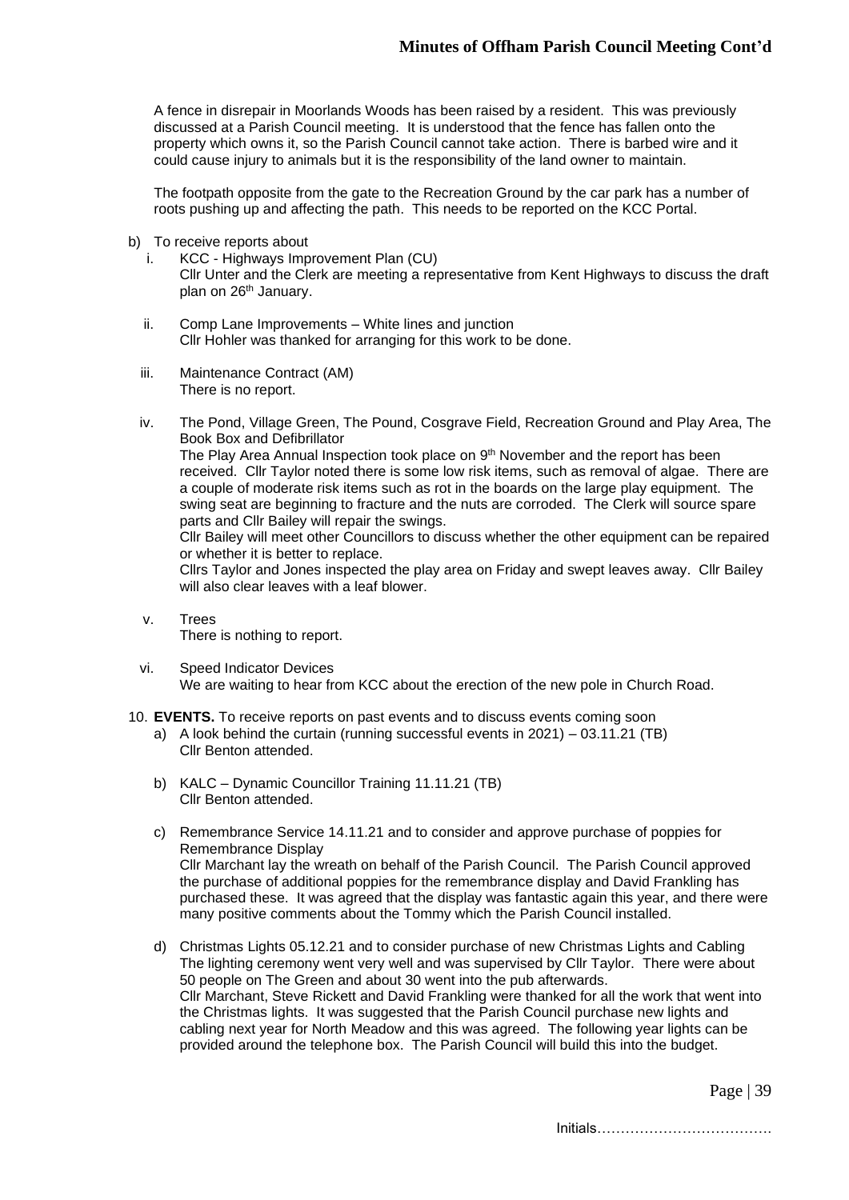A fence in disrepair in Moorlands Woods has been raised by a resident. This was previously discussed at a Parish Council meeting. It is understood that the fence has fallen onto the property which owns it, so the Parish Council cannot take action. There is barbed wire and it could cause injury to animals but it is the responsibility of the land owner to maintain.

The footpath opposite from the gate to the Recreation Ground by the car park has a number of roots pushing up and affecting the path. This needs to be reported on the KCC Portal.

- b) To receive reports about
	- i. KCC Highways Improvement Plan (CU) Cllr Unter and the Clerk are meeting a representative from Kent Highways to discuss the draft plan on 26<sup>th</sup> January.
	- ii. Comp Lane Improvements White lines and junction Cllr Hohler was thanked for arranging for this work to be done.
	- iii. Maintenance Contract (AM) There is no report.
	- iv. The Pond, Village Green, The Pound, Cosgrave Field, Recreation Ground and Play Area, The Book Box and Defibrillator The Play Area Annual Inspection took place on 9<sup>th</sup> November and the report has been received. Cllr Taylor noted there is some low risk items, such as removal of algae. There are a couple of moderate risk items such as rot in the boards on the large play equipment. The swing seat are beginning to fracture and the nuts are corroded. The Clerk will source spare parts and Cllr Bailey will repair the swings. Cllr Bailey will meet other Councillors to discuss whether the other equipment can be repaired

or whether it is better to replace.

Cllrs Taylor and Jones inspected the play area on Friday and swept leaves away. Cllr Bailey will also clear leaves with a leaf blower.

- v. Trees There is nothing to report.
- vi. Speed Indicator Devices We are waiting to hear from KCC about the erection of the new pole in Church Road.
- 10. **EVENTS.** To receive reports on past events and to discuss events coming soon
	- a) A look behind the curtain (running successful events in 2021) 03.11.21 (TB) Cllr Benton attended.
	- b) KALC Dynamic Councillor Training 11.11.21 (TB) Cllr Benton attended.
	- c) Remembrance Service 14.11.21 and to consider and approve purchase of poppies for Remembrance Display Cllr Marchant lay the wreath on behalf of the Parish Council. The Parish Council approved the purchase of additional poppies for the remembrance display and David Frankling has purchased these. It was agreed that the display was fantastic again this year, and there were many positive comments about the Tommy which the Parish Council installed.
	- d) Christmas Lights 05.12.21 and to consider purchase of new Christmas Lights and Cabling The lighting ceremony went very well and was supervised by Cllr Taylor. There were about 50 people on The Green and about 30 went into the pub afterwards. Cllr Marchant, Steve Rickett and David Frankling were thanked for all the work that went into the Christmas lights. It was suggested that the Parish Council purchase new lights and cabling next year for North Meadow and this was agreed. The following year lights can be provided around the telephone box. The Parish Council will build this into the budget.

Page | 39